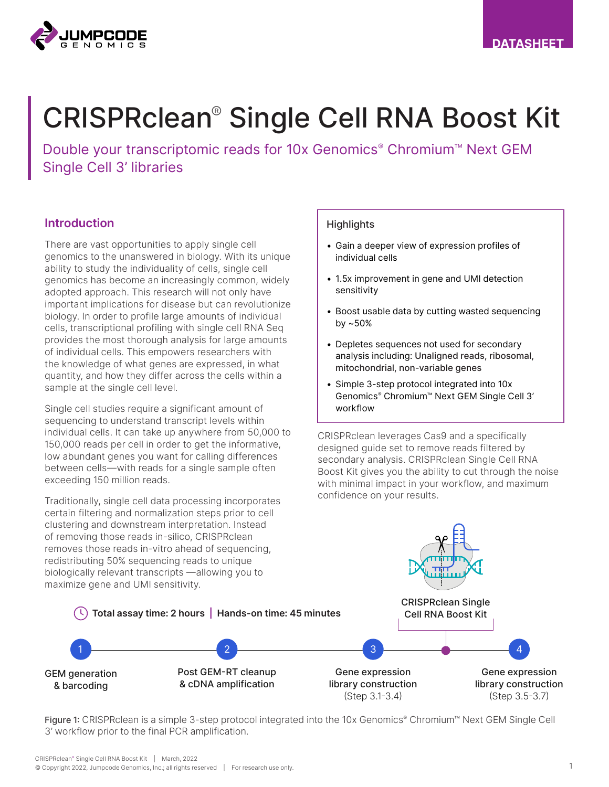

# CRISPRclean® Single Cell RNA Boost Kit

Double your transcriptomic reads for 10x Genomics<sup>®</sup> Chromium™ Next GEM Single Cell 3' libraries

#### Introduction

There are vast opportunities to apply single cell genomics to the unanswered in biology. With its unique ability to study the individuality of cells, single cell genomics has become an increasingly common, widely adopted approach. This research will not only have important implications for disease but can revolutionize biology. In order to profile large amounts of individual cells, transcriptional profiling with single cell RNA Seq provides the most thorough analysis for large amounts of individual cells. This empowers researchers with the knowledge of what genes are expressed, in what quantity, and how they differ across the cells within a sample at the single cell level.

Single cell studies require a significant amount of sequencing to understand transcript levels within individual cells. It can take up anywhere from 50,000 to 150,000 reads per cell in order to get the informative, low abundant genes you want for calling differences between cells—with reads for a single sample often exceeding 150 million reads.

Traditionally, single cell data processing incorporates certain filtering and normalization steps prior to cell clustering and downstream interpretation. Instead of removing those reads in-silico, CRISPRclean removes those reads in-vitro ahead of sequencing, redistributing 50% sequencing reads to unique biologically relevant transcripts —allowing you to maximize gene and UMI sensitivity.

#### **Highlights**

- Gain a deeper view of expression profiles of individual cells
- 1.5x improvement in gene and UMI detection sensitivity
- Boost usable data by cutting wasted sequencing by ~50%
- Depletes sequences not used for secondary analysis including: Unaligned reads, ribosomal, mitochondrial, non-variable genes
- Simple 3-step protocol integrated into 10x Genomics® Chromium™ Next GEM Single Cell 3' workflow

CRISPRclean leverages Cas9 and a specifically designed guide set to remove reads filtered by secondary analysis. CRISPRclean Single Cell RNA Boost Kit gives you the ability to cut through the noise with minimal impact in your workflow, and maximum confidence on your results.



Figure 1: CRISPRclean is a simple 3-step protocol integrated into the 10x Genomics® Chromium™ Next GEM Single Cell 3' workflow prior to the final PCR amplification.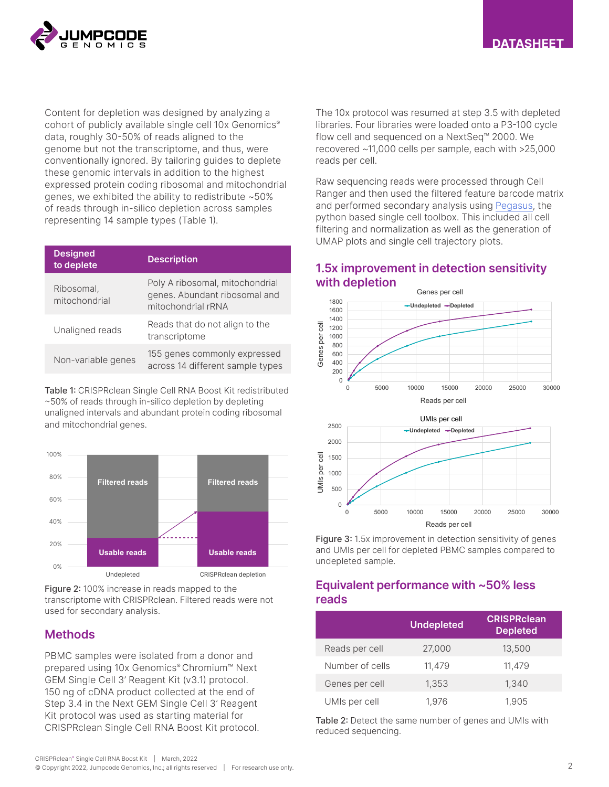

Content for depletion was designed by analyzing a cohort of publicly available single cell 10x Genomics<sup>®</sup> data, roughly 30-50% of reads aligned to the genome but not the transcriptome, and thus, were conventionally ignored. By tailoring guides to deplete these genomic intervals in addition to the highest expressed protein coding ribosomal and mitochondrial genes, we exhibited the ability to redistribute ~50% of reads through in-silico depletion across samples representing 14 sample types (Table 1).

| <b>Designed</b><br>to deplete | <b>Description</b>                                                                     |
|-------------------------------|----------------------------------------------------------------------------------------|
| Ribosomal,<br>mitochondrial   | Poly A ribosomal, mitochondrial<br>genes. Abundant ribosomal and<br>mitochondrial rRNA |
| Unaligned reads               | Reads that do not align to the<br>transcriptome                                        |
| Non-variable genes            | 155 genes commonly expressed<br>across 14 different sample types                       |

Table 1: CRISPRclean Single Cell RNA Boost Kit redistributed ~50% of reads through in-silico depletion by depleting unaligned intervals and abundant protein coding ribosomal and mitochondrial genes.



Figure 2: 100% increase in reads mapped to the transcriptome with CRISPRclean. Filtered reads were not used for secondary analysis.

#### **Methods**

PBMC samples were isolated from a donor and prepared using 10x Genomics® Chromium™ Next GEM Single Cell 3' Reagent Kit (v3.1) protocol. 150 ng of cDNA product collected at the end of Step 3.4 in the Next GEM Single Cell 3' Reagent Kit protocol was used as starting material for CRISPRclean Single Cell RNA Boost Kit protocol.

The 10x protocol was resumed at step 3.5 with depleted libraries. Four libraries were loaded onto a P3-100 cycle flow cell and sequenced on a NextSeq™ 2000. We recovered ~11,000 cells per sample, each with >25,000 reads per cell.

Raw sequencing reads were processed through Cell Ranger and then used the filtered feature barcode matrix and performed secondary analysis using [Pegasus,](https://pegasus.readthedocs.io/en/stable/) the python based single cell toolbox. This included all cell filtering and normalization as well as the generation of UMAP plots and single cell trajectory plots.

## 1.5x improvement in detection sensitivity with depletion





Figure 3: 1.5x improvement in detection sensitivity of genes and UMIs per cell for depleted PBMC samples compared to undepleted sample.

#### Equivalent performance with ~50% less reads

|                 | <b>Undepleted</b> | <b>CRISPRclean</b><br><b>Depleted</b> |
|-----------------|-------------------|---------------------------------------|
| Reads per cell  | 27,000            | 13,500                                |
| Number of cells | 11,479            | 11,479                                |
| Genes per cell  | 1,353             | 1,340                                 |
| UMIs per cell   | 1,976             | 1,905                                 |

Table 2: Detect the same number of genes and UMIs with reduced sequencing.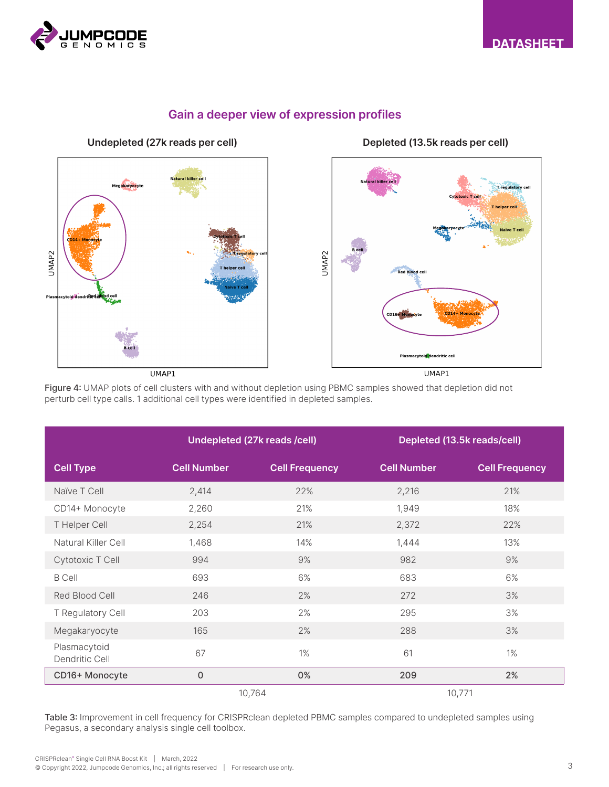



## Gain a deeper view of expression profiles

Undepleted (27k reads per cell) Depleted (13.5k reads per cell)



Figure 4: UMAP plots of cell clusters with and without depletion using PBMC samples showed that depletion did not perturb cell type calls. 1 additional cell types were identified in depleted samples.

|                                | Undepleted (27k reads /cell) |                       | Depleted (13.5k reads/cell) |                       |
|--------------------------------|------------------------------|-----------------------|-----------------------------|-----------------------|
| <b>Cell Type</b>               | <b>Cell Number</b>           | <b>Cell Frequency</b> | <b>Cell Number</b>          | <b>Cell Frequency</b> |
| Naïve T Cell                   | 2,414                        | 22%                   | 2,216                       | 21%                   |
| CD14+ Monocyte                 | 2,260                        | 21%                   | 1,949                       | 18%                   |
| T Helper Cell                  | 2,254                        | 21%                   | 2,372                       | 22%                   |
| Natural Killer Cell            | 1,468                        | 14%                   | 1,444                       | 13%                   |
| Cytotoxic T Cell               | 994                          | 9%                    | 982                         | 9%                    |
| <b>B</b> Cell                  | 693                          | 6%                    | 683                         | 6%                    |
| Red Blood Cell                 | 246                          | 2%                    | 272                         | 3%                    |
| T Regulatory Cell              | 203                          | 2%                    | 295                         | 3%                    |
| Megakaryocyte                  | 165                          | 2%                    | 288                         | 3%                    |
| Plasmacytoid<br>Dendritic Cell | 67                           | $1\%$                 | 61                          | $1\%$                 |
| CD16+ Monocyte                 | $\overline{0}$               | 0%                    | 209                         | 2%                    |
|                                |                              | 10,764                |                             | 10,771                |

Table 3: Improvement in cell frequency for CRISPRclean depleted PBMC samples compared to undepleted samples using Pegasus, a secondary analysis single cell toolbox.